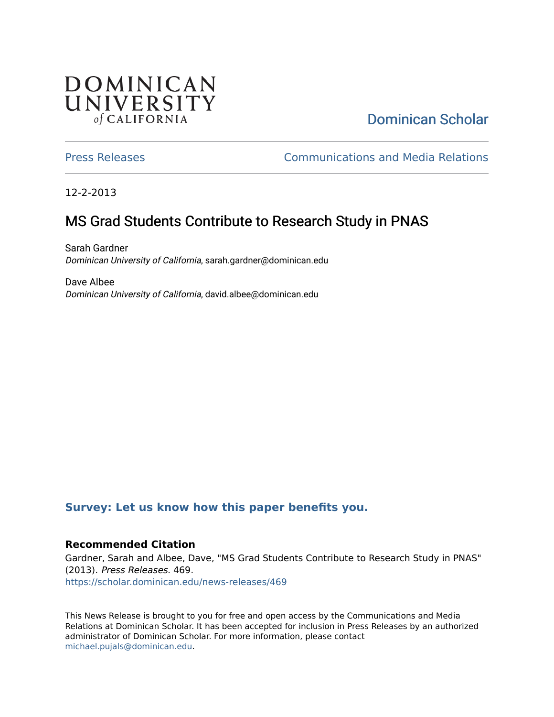## **DOMINICAN** UNIVERSITY of CALIFORNIA

# [Dominican Scholar](https://scholar.dominican.edu/)

[Press Releases](https://scholar.dominican.edu/news-releases) [Communications and Media Relations](https://scholar.dominican.edu/communications-media) 

12-2-2013

# MS Grad Students Contribute to Research Study in PNAS

Sarah Gardner Dominican University of California, sarah.gardner@dominican.edu

Dave Albee Dominican University of California, david.albee@dominican.edu

#### **[Survey: Let us know how this paper benefits you.](https://dominican.libwizard.com/dominican-scholar-feedback)**

#### **Recommended Citation**

Gardner, Sarah and Albee, Dave, "MS Grad Students Contribute to Research Study in PNAS" (2013). Press Releases. 469. [https://scholar.dominican.edu/news-releases/469](https://scholar.dominican.edu/news-releases/469?utm_source=scholar.dominican.edu%2Fnews-releases%2F469&utm_medium=PDF&utm_campaign=PDFCoverPages)

This News Release is brought to you for free and open access by the Communications and Media Relations at Dominican Scholar. It has been accepted for inclusion in Press Releases by an authorized administrator of Dominican Scholar. For more information, please contact [michael.pujals@dominican.edu.](mailto:michael.pujals@dominican.edu)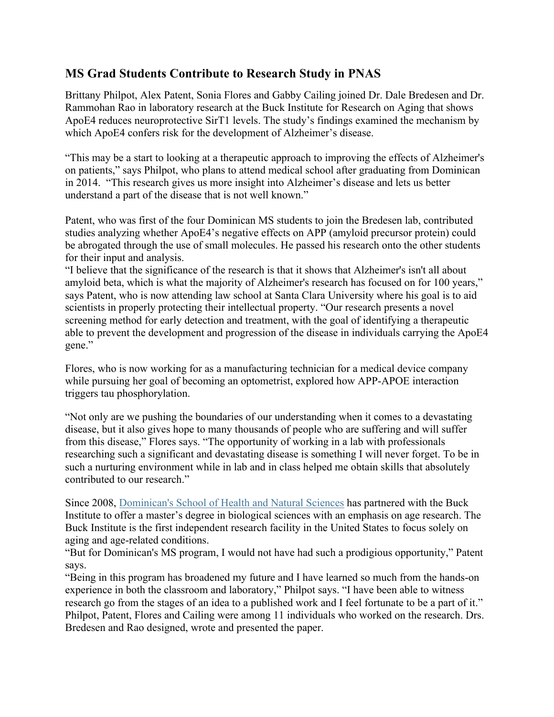### **MS Grad Students Contribute to Research Study in PNAS**

Brittany Philpot, Alex Patent, Sonia Flores and Gabby Cailing joined Dr. Dale Bredesen and Dr. Rammohan Rao in laboratory research at the Buck Institute for Research on Aging that shows ApoE4 reduces neuroprotective SirT1 levels. The study's findings examined the mechanism by which ApoE4 confers risk for the development of Alzheimer's disease.

"This may be a start to looking at a therapeutic approach to improving the effects of Alzheimer's on patients," says Philpot, who plans to attend medical school after graduating from Dominican in 2014. "This research gives us more insight into Alzheimer's disease and lets us better understand a part of the disease that is not well known."

Patent, who was first of the four Dominican MS students to join the Bredesen lab, contributed studies analyzing whether ApoE4's negative effects on APP (amyloid precursor protein) could be abrogated through the use of small molecules. He passed his research onto the other students for their input and analysis.

"I believe that the significance of the research is that it shows that Alzheimer's isn't all about amyloid beta, which is what the majority of Alzheimer's research has focused on for 100 years," says Patent, who is now attending law school at Santa Clara University where his goal is to aid scientists in properly protecting their intellectual property. "Our research presents a novel screening method for early detection and treatment, with the goal of identifying a therapeutic able to prevent the development and progression of the disease in individuals carrying the ApoE4 gene."

Flores, who is now working for as a manufacturing technician for a medical device company while pursuing her goal of becoming an optometrist, explored how APP-APOE interaction triggers tau phosphorylation.

"Not only are we pushing the boundaries of our understanding when it comes to a devastating disease, but it also gives hope to many thousands of people who are suffering and will suffer from this disease," Flores says. "The opportunity of working in a lab with professionals researching such a significant and devastating disease is something I will never forget. To be in such a nurturing environment while in lab and in class helped me obtain skills that absolutely contributed to our research."

Since 2008, Dominican's School of Health and Natural Sciences has partnered with the Buck Institute to offer a master's degree in biological sciences with an emphasis on age research. The Buck Institute is the first independent research facility in the United States to focus solely on aging and age-related conditions.

"But for Dominican's MS program, I would not have had such a prodigious opportunity," Patent says.

"Being in this program has broadened my future and I have learned so much from the hands-on experience in both the classroom and laboratory," Philpot says. "I have been able to witness research go from the stages of an idea to a published work and I feel fortunate to be a part of it." Philpot, Patent, Flores and Cailing were among 11 individuals who worked on the research. Drs. Bredesen and Rao designed, wrote and presented the paper.